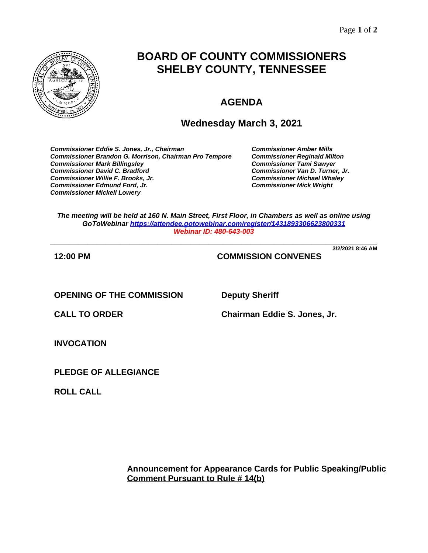

# **BOARD OF COUNTY COMMISSIONERS SHELBY COUNTY, TENNESSEE**

## **AGENDA**

### **Wednesday March 3, 2021**

*Commissioner Eddie S. Jones, Jr., Chairman Commissioner Amber Mills* **Commissioner Brandon G. Morrison, Chairman Pro Tempore** *Commissioner Mark Billingsley Commissioner Tami Sawyer Commissioner David C. Bradford Commissioner Van D. Turner, Jr. Commissioner Willie F. Brooks, Jr. Commissioner Michael Whaley* **Commissioner Edmund Ford, Jr.** *Commissioner Mickell Lowery*

*The meeting will be held at 160 N. Main Street, First Floor, in Chambers as well as online using GoToWebinar<https://attendee.gotowebinar.com/register/1431893306623800331> Webinar ID: 480-643-003*

**\_\_\_\_\_\_\_\_\_\_\_\_\_\_\_\_\_\_\_\_\_\_\_\_\_\_\_\_\_\_\_\_\_\_\_\_\_\_\_\_\_\_\_\_\_\_\_\_\_\_\_\_\_\_\_\_\_\_\_\_\_\_\_\_\_\_\_\_\_\_ 3/2/2021 8:46 AM**

**12:00 PM COMMISSION CONVENES**

**OPENING OF THE COMMISSION Deputy Sheriff**

**CALL TO ORDER Chairman Eddie S. Jones, Jr.**

**INVOCATION**

**PLEDGE OF ALLEGIANCE**

**ROLL CALL**

**Announcement for Appearance Cards for Public Speaking/Public Comment Pursuant to Rule # 14(b)**